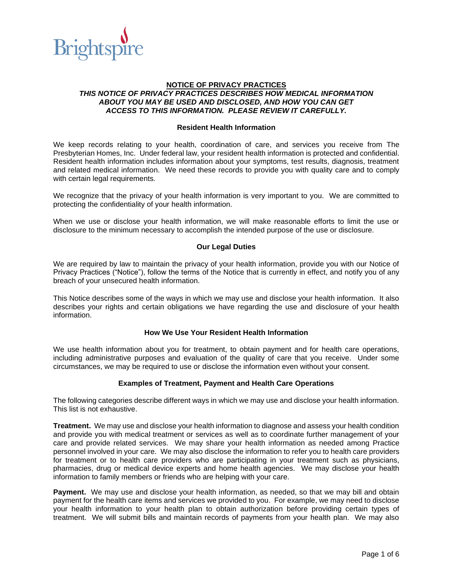

# **NOTICE OF PRIVACY PRACTICES** *THIS NOTICE OF PRIVACY PRACTICES DESCRIBES HOW MEDICAL INFORMATION ABOUT YOU MAY BE USED AND DISCLOSED, AND HOW YOU CAN GET ACCESS TO THIS INFORMATION. PLEASE REVIEW IT CAREFULLY.*

#### **Resident Health Information**

We keep records relating to your health, coordination of care, and services you receive from The Presbyterian Homes, Inc. Under federal law, your resident health information is protected and confidential. Resident health information includes information about your symptoms, test results, diagnosis, treatment and related medical information. We need these records to provide you with quality care and to comply with certain legal requirements.

We recognize that the privacy of your health information is very important to you. We are committed to protecting the confidentiality of your health information.

When we use or disclose your health information, we will make reasonable efforts to limit the use or disclosure to the minimum necessary to accomplish the intended purpose of the use or disclosure.

#### **Our Legal Duties**

We are required by law to maintain the privacy of your health information, provide you with our Notice of Privacy Practices ("Notice"), follow the terms of the Notice that is currently in effect, and notify you of any breach of your unsecured health information.

This Notice describes some of the ways in which we may use and disclose your health information. It also describes your rights and certain obligations we have regarding the use and disclosure of your health information.

#### **How We Use Your Resident Health Information**

We use health information about you for treatment, to obtain payment and for health care operations, including administrative purposes and evaluation of the quality of care that you receive. Under some circumstances, we may be required to use or disclose the information even without your consent.

## **Examples of Treatment, Payment and Health Care Operations**

The following categories describe different ways in which we may use and disclose your health information. This list is not exhaustive.

**Treatment.** We may use and disclose your health information to diagnose and assess your health condition and provide you with medical treatment or services as well as to coordinate further management of your care and provide related services. We may share your health information as needed among Practice personnel involved in your care. We may also disclose the information to refer you to health care providers for treatment or to health care providers who are participating in your treatment such as physicians, pharmacies, drug or medical device experts and home health agencies. We may disclose your health information to family members or friends who are helping with your care.

**Payment.** We may use and disclose your health information, as needed, so that we may bill and obtain payment for the health care items and services we provided to you. For example, we may need to disclose your health information to your health plan to obtain authorization before providing certain types of treatment. We will submit bills and maintain records of payments from your health plan. We may also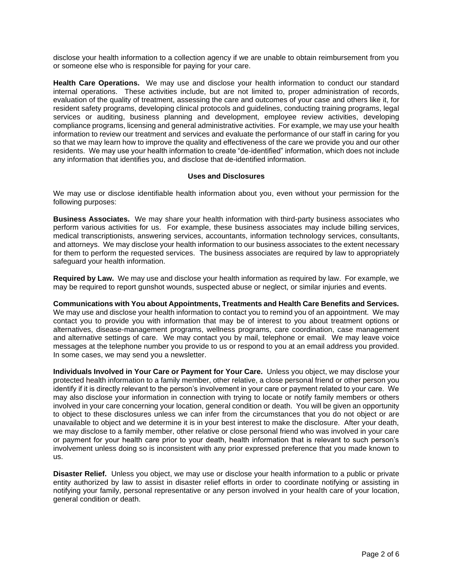disclose your health information to a collection agency if we are unable to obtain reimbursement from you or someone else who is responsible for paying for your care.

**Health Care Operations.** We may use and disclose your health information to conduct our standard internal operations. These activities include, but are not limited to, proper administration of records, evaluation of the quality of treatment, assessing the care and outcomes of your case and others like it, for resident safety programs, developing clinical protocols and guidelines, conducting training programs, legal services or auditing, business planning and development, employee review activities, developing compliance programs, licensing and general administrative activities. For example, we may use your health information to review our treatment and services and evaluate the performance of our staff in caring for you so that we may learn how to improve the quality and effectiveness of the care we provide you and our other residents. We may use your health information to create "de-identified" information, which does not include any information that identifies you, and disclose that de-identified information.

# **Uses and Disclosures**

We may use or disclose identifiable health information about you, even without your permission for the following purposes:

**Business Associates.** We may share your health information with third-party business associates who perform various activities for us. For example, these business associates may include billing services, medical transcriptionists, answering services, accountants, information technology services, consultants, and attorneys. We may disclose your health information to our business associates to the extent necessary for them to perform the requested services. The business associates are required by law to appropriately safeguard your health information.

**Required by Law.** We may use and disclose your health information as required by law. For example, we may be required to report gunshot wounds, suspected abuse or neglect, or similar injuries and events.

**Communications with You about Appointments, Treatments and Health Care Benefits and Services.** We may use and disclose your health information to contact you to remind you of an appointment. We may contact you to provide you with information that may be of interest to you about treatment options or alternatives, disease-management programs, wellness programs, care coordination, case management and alternative settings of care. We may contact you by mail, telephone or email. We may leave voice messages at the telephone number you provide to us or respond to you at an email address you provided. In some cases, we may send you a newsletter.

**Individuals Involved in Your Care or Payment for Your Care.** Unless you object, we may disclose your protected health information to a family member, other relative, a close personal friend or other person you identify if it is directly relevant to the person's involvement in your care or payment related to your care. We may also disclose your information in connection with trying to locate or notify family members or others involved in your care concerning your location, general condition or death. You will be given an opportunity to object to these disclosures unless we can infer from the circumstances that you do not object or are unavailable to object and we determine it is in your best interest to make the disclosure. After your death, we may disclose to a family member, other relative or close personal friend who was involved in your care or payment for your health care prior to your death, health information that is relevant to such person's involvement unless doing so is inconsistent with any prior expressed preference that you made known to us.

**Disaster Relief.** Unless you object, we may use or disclose your health information to a public or private entity authorized by law to assist in disaster relief efforts in order to coordinate notifying or assisting in notifying your family, personal representative or any person involved in your health care of your location, general condition or death.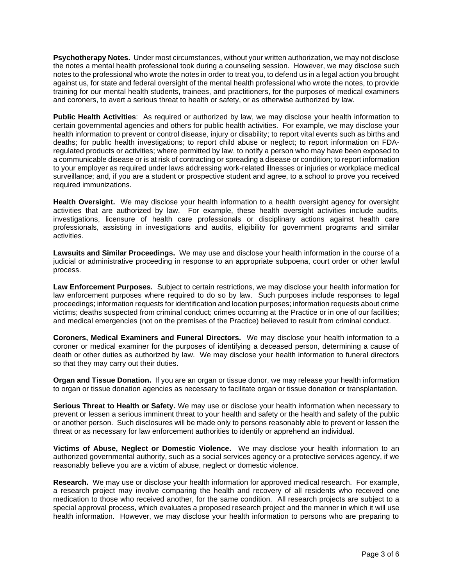**Psychotherapy Notes.** Under most circumstances, without your written authorization, we may not disclose the notes a mental health professional took during a counseling session. However, we may disclose such notes to the professional who wrote the notes in order to treat you, to defend us in a legal action you brought against us, for state and federal oversight of the mental health professional who wrote the notes, to provide training for our mental health students, trainees, and practitioners, for the purposes of medical examiners and coroners, to avert a serious threat to health or safety, or as otherwise authorized by law.

**Public Health Activities**: As required or authorized by law, we may disclose your health information to certain governmental agencies and others for public health activities. For example, we may disclose your health information to prevent or control disease, injury or disability; to report vital events such as births and deaths; for public health investigations; to report child abuse or neglect; to report information on FDAregulated products or activities; where permitted by law, to notify a person who may have been exposed to a communicable disease or is at risk of contracting or spreading a disease or condition; to report information to your employer as required under laws addressing work-related illnesses or injuries or workplace medical surveillance; and, if you are a student or prospective student and agree, to a school to prove you received required immunizations.

**Health Oversight.** We may disclose your health information to a health oversight agency for oversight activities that are authorized by law. For example, these health oversight activities include audits, investigations, licensure of health care professionals or disciplinary actions against health care professionals, assisting in investigations and audits, eligibility for government programs and similar activities.

**Lawsuits and Similar Proceedings.** We may use and disclose your health information in the course of a judicial or administrative proceeding in response to an appropriate subpoena, court order or other lawful process.

**Law Enforcement Purposes.** Subject to certain restrictions, we may disclose your health information for law enforcement purposes where required to do so by law. Such purposes include responses to legal proceedings; information requests for identification and location purposes; information requests about crime victims; deaths suspected from criminal conduct; crimes occurring at the Practice or in one of our facilities; and medical emergencies (not on the premises of the Practice) believed to result from criminal conduct.

**Coroners, Medical Examiners and Funeral Directors.** We may disclose your health information to a coroner or medical examiner for the purposes of identifying a deceased person, determining a cause of death or other duties as authorized by law. We may disclose your health information to funeral directors so that they may carry out their duties.

**Organ and Tissue Donation.** If you are an organ or tissue donor, we may release your health information to organ or tissue donation agencies as necessary to facilitate organ or tissue donation or transplantation.

**Serious Threat to Health or Safety.** We may use or disclose your health information when necessary to prevent or lessen a serious imminent threat to your health and safety or the health and safety of the public or another person. Such disclosures will be made only to persons reasonably able to prevent or lessen the threat or as necessary for law enforcement authorities to identify or apprehend an individual.

**Victims of Abuse, Neglect or Domestic Violence.** We may disclose your health information to an authorized governmental authority, such as a social services agency or a protective services agency, if we reasonably believe you are a victim of abuse, neglect or domestic violence.

**Research.** We may use or disclose your health information for approved medical research. For example, a research project may involve comparing the health and recovery of all residents who received one medication to those who received another, for the same condition. All research projects are subject to a special approval process, which evaluates a proposed research project and the manner in which it will use health information. However, we may disclose your health information to persons who are preparing to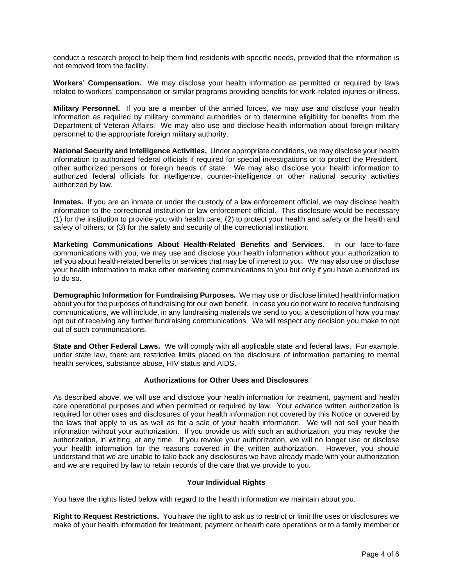conduct a research project to help them find residents with specific needs, provided that the information is not removed from the facility.

**Workers' Compensation.** We may disclose your health information as permitted or required by laws related to workers' compensation or similar programs providing benefits for work-related injuries or illness.

**Military Personnel.** If you are a member of the armed forces, we may use and disclose your health information as required by military command authorities or to determine eligibility for benefits from the Department of Veteran Affairs. We may also use and disclose health information about foreign military personnel to the appropriate foreign military authority.

**National Security and Intelligence Activities.** Under appropriate conditions, we may disclose your health information to authorized federal officials if required for special investigations or to protect the President, other authorized persons or foreign heads of state. We may also disclose your health information to authorized federal officials for intelligence, counter-intelligence or other national security activities authorized by law.

**Inmates.** If you are an inmate or under the custody of a law enforcement official, we may disclose health information to the correctional institution or law enforcement official. This disclosure would be necessary (1) for the institution to provide you with health care; (2) to protect your health and safety or the health and safety of others; or (3) for the safety and security of the correctional institution.

**Marketing Communications About Health-Related Benefits and Services.** In our face-to-face communications with you, we may use and disclose your health information without your authorization to tell you about health-related benefits or services that may be of interest to you. We may also use or disclose your health information to make other marketing communications to you but only if you have authorized us to do so.

**Demographic Information for Fundraising Purposes.** We may use or disclose limited health information about you for the purposes of fundraising for our own benefit. In case you do not want to receive fundraising communications, we will include, in any fundraising materials we send to you, a description of how you may opt out of receiving any further fundraising communications. We will respect any decision you make to opt out of such communications.

**State and Other Federal Laws.** We will comply with all applicable state and federal laws. For example, under state law, there are restrictive limits placed on the disclosure of information pertaining to mental health services, substance abuse, HIV status and AIDS.

## **Authorizations for Other Uses and Disclosures**

As described above, we will use and disclose your health information for treatment, payment and health care operational purposes and when permitted or required by law. Your advance written authorization is required for other uses and disclosures of your health information not covered by this Notice or covered by the laws that apply to us as well as for a sale of your health information. We will not sell your health information without your authorization. If you provide us with such an authorization, you may revoke the authorization, in writing, at any time. If you revoke your authorization, we will no longer use or disclose your health information for the reasons covered in the written authorization. However, you should understand that we are unable to take back any disclosures we have already made with your authorization and we are required by law to retain records of the care that we provide to you.

## **Your Individual Rights**

You have the rights listed below with regard to the health information we maintain about you.

**Right to Request Restrictions.** You have the right to ask us to restrict or limit the uses or disclosures we make of your health information for treatment, payment or health care operations or to a family member or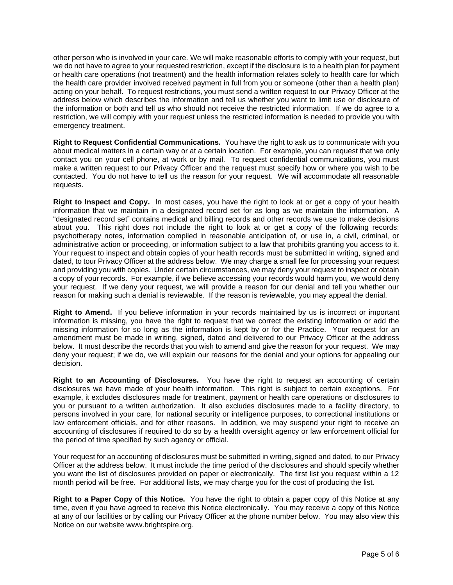other person who is involved in your care. We will make reasonable efforts to comply with your request, but we do not have to agree to your requested restriction, except if the disclosure is to a health plan for payment or health care operations (not treatment) and the health information relates solely to health care for which the health care provider involved received payment in full from you or someone (other than a health plan) acting on your behalf. To request restrictions, you must send a written request to our Privacy Officer at the address below which describes the information and tell us whether you want to limit use or disclosure of the information or both and tell us who should not receive the restricted information. If we do agree to a restriction, we will comply with your request unless the restricted information is needed to provide you with emergency treatment.

**Right to Request Confidential Communications.** You have the right to ask us to communicate with you about medical matters in a certain way or at a certain location. For example, you can request that we only contact you on your cell phone, at work or by mail. To request confidential communications, you must make a written request to our Privacy Officer and the request must specify how or where you wish to be contacted. You do not have to tell us the reason for your request. We will accommodate all reasonable requests.

**Right to Inspect and Copy.** In most cases, you have the right to look at or get a copy of your health information that we maintain in a designated record set for as long as we maintain the information. A "designated record set" contains medical and billing records and other records we use to make decisions about you. This right does not include the right to look at or get a copy of the following records: psychotherapy notes, information compiled in reasonable anticipation of, or use in, a civil, criminal, or administrative action or proceeding, or information subject to a law that prohibits granting you access to it. Your request to inspect and obtain copies of your health records must be submitted in writing, signed and dated, to tour Privacy Officer at the address below. We may charge a small fee for processing your request and providing you with copies. Under certain circumstances, we may deny your request to inspect or obtain a copy of your records. For example, if we believe accessing your records would harm you, we would deny your request. If we deny your request, we will provide a reason for our denial and tell you whether our reason for making such a denial is reviewable. If the reason is reviewable, you may appeal the denial.

**Right to Amend.** If you believe information in your records maintained by us is incorrect or important information is missing, you have the right to request that we correct the existing information or add the missing information for so long as the information is kept by or for the Practice. Your request for an amendment must be made in writing, signed, dated and delivered to our Privacy Officer at the address below. It must describe the records that you wish to amend and give the reason for your request. We may deny your request; if we do, we will explain our reasons for the denial and your options for appealing our decision.

**Right to an Accounting of Disclosures.** You have the right to request an accounting of certain disclosures we have made of your health information. This right is subject to certain exceptions. For example, it excludes disclosures made for treatment, payment or health care operations or disclosures to you or pursuant to a written authorization. It also excludes disclosures made to a facility directory, to persons involved in your care, for national security or intelligence purposes, to correctional institutions or law enforcement officials, and for other reasons. In addition, we may suspend your right to receive an accounting of disclosures if required to do so by a health oversight agency or law enforcement official for the period of time specified by such agency or official.

Your request for an accounting of disclosures must be submitted in writing, signed and dated, to our Privacy Officer at the address below. It must include the time period of the disclosures and should specify whether you want the list of disclosures provided on paper or electronically. The first list you request within a 12 month period will be free. For additional lists, we may charge you for the cost of producing the list.

**Right to a Paper Copy of this Notice.** You have the right to obtain a paper copy of this Notice at any time, even if you have agreed to receive this Notice electronically. You may receive a copy of this Notice at any of our facilities or by calling our Privacy Officer at the phone number below. You may also view this Notice on our website www.brightspire.org.